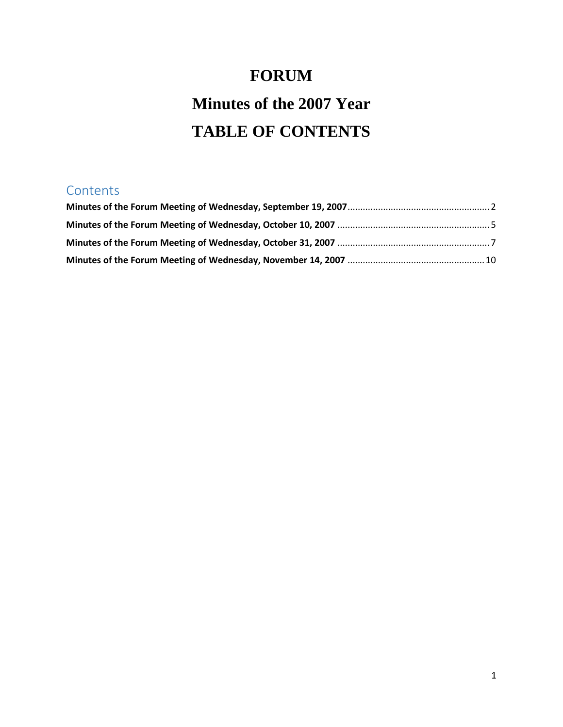# **FORUM Minutes of the 2007 Year TABLE OF CONTENTS**

# **Contents**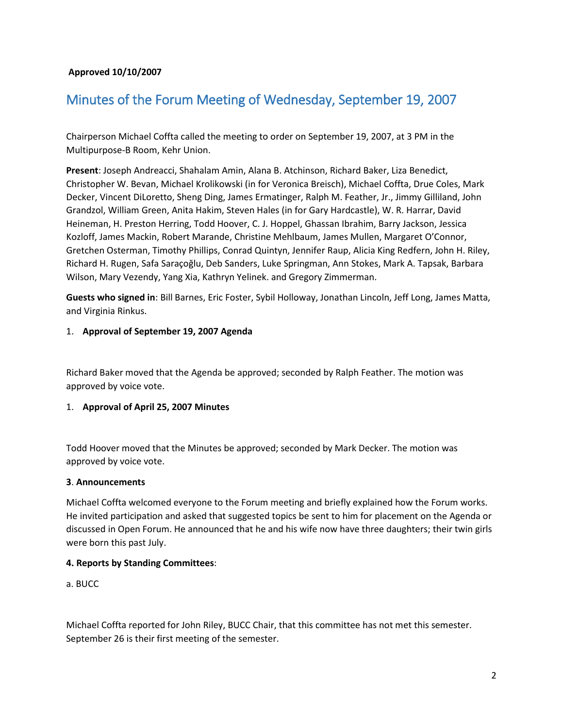# **Approved 10/10/2007**

# <span id="page-1-0"></span>Minutes of the Forum Meeting of Wednesday, September 19, 2007

Chairperson Michael Coffta called the meeting to order on September 19, 2007, at 3 PM in the Multipurpose-B Room, Kehr Union.

**Present**: Joseph Andreacci, Shahalam Amin, Alana B. Atchinson, Richard Baker, Liza Benedict, Christopher W. Bevan, Michael Krolikowski (in for Veronica Breisch), Michael Coffta, Drue Coles, Mark Decker, Vincent DiLoretto, Sheng Ding, James Ermatinger, Ralph M. Feather, Jr., Jimmy Gilliland, John Grandzol, William Green, Anita Hakim, Steven Hales (in for Gary Hardcastle), W. R. Harrar, David Heineman, H. Preston Herring, Todd Hoover, C. J. Hoppel, Ghassan Ibrahim, Barry Jackson, Jessica Kozloff, James Mackin, Robert Marande, Christine Mehlbaum, James Mullen, Margaret O'Connor, Gretchen Osterman, Timothy Phillips, Conrad Quintyn, Jennifer Raup, Alicia King Redfern, John H. Riley, Richard H. Rugen, Safa Saraçoğlu, Deb Sanders, Luke Springman, Ann Stokes, Mark A. Tapsak, Barbara Wilson, Mary Vezendy, Yang Xia, Kathryn Yelinek. and Gregory Zimmerman.

**Guests who signed in**: Bill Barnes, Eric Foster, Sybil Holloway, Jonathan Lincoln, Jeff Long, James Matta, and Virginia Rinkus.

#### 1. **Approval of September 19, 2007 Agenda**

Richard Baker moved that the Agenda be approved; seconded by Ralph Feather. The motion was approved by voice vote.

#### 1. **Approval of April 25, 2007 Minutes**

Todd Hoover moved that the Minutes be approved; seconded by Mark Decker. The motion was approved by voice vote.

#### **3**. **Announcements**

Michael Coffta welcomed everyone to the Forum meeting and briefly explained how the Forum works. He invited participation and asked that suggested topics be sent to him for placement on the Agenda or discussed in Open Forum. He announced that he and his wife now have three daughters; their twin girls were born this past July.

#### **4. Reports by Standing Committees**:

a. BUCC

Michael Coffta reported for John Riley, BUCC Chair, that this committee has not met this semester. September 26 is their first meeting of the semester.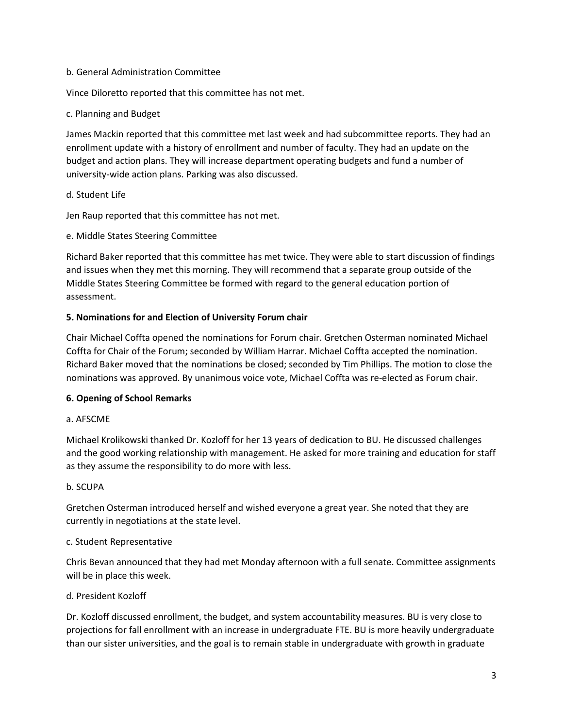#### b. General Administration Committee

Vince Diloretto reported that this committee has not met.

# c. Planning and Budget

James Mackin reported that this committee met last week and had subcommittee reports. They had an enrollment update with a history of enrollment and number of faculty. They had an update on the budget and action plans. They will increase department operating budgets and fund a number of university-wide action plans. Parking was also discussed.

# d. Student Life

Jen Raup reported that this committee has not met.

# e. Middle States Steering Committee

Richard Baker reported that this committee has met twice. They were able to start discussion of findings and issues when they met this morning. They will recommend that a separate group outside of the Middle States Steering Committee be formed with regard to the general education portion of assessment.

# **5. Nominations for and Election of University Forum chair**

Chair Michael Coffta opened the nominations for Forum chair. Gretchen Osterman nominated Michael Coffta for Chair of the Forum; seconded by William Harrar. Michael Coffta accepted the nomination. Richard Baker moved that the nominations be closed; seconded by Tim Phillips. The motion to close the nominations was approved. By unanimous voice vote, Michael Coffta was re-elected as Forum chair.

# **6. Opening of School Remarks**

#### a. AFSCME

Michael Krolikowski thanked Dr. Kozloff for her 13 years of dedication to BU. He discussed challenges and the good working relationship with management. He asked for more training and education for staff as they assume the responsibility to do more with less.

#### b. SCUPA

Gretchen Osterman introduced herself and wished everyone a great year. She noted that they are currently in negotiations at the state level.

#### c. Student Representative

Chris Bevan announced that they had met Monday afternoon with a full senate. Committee assignments will be in place this week.

#### d. President Kozloff

Dr. Kozloff discussed enrollment, the budget, and system accountability measures. BU is very close to projections for fall enrollment with an increase in undergraduate FTE. BU is more heavily undergraduate than our sister universities, and the goal is to remain stable in undergraduate with growth in graduate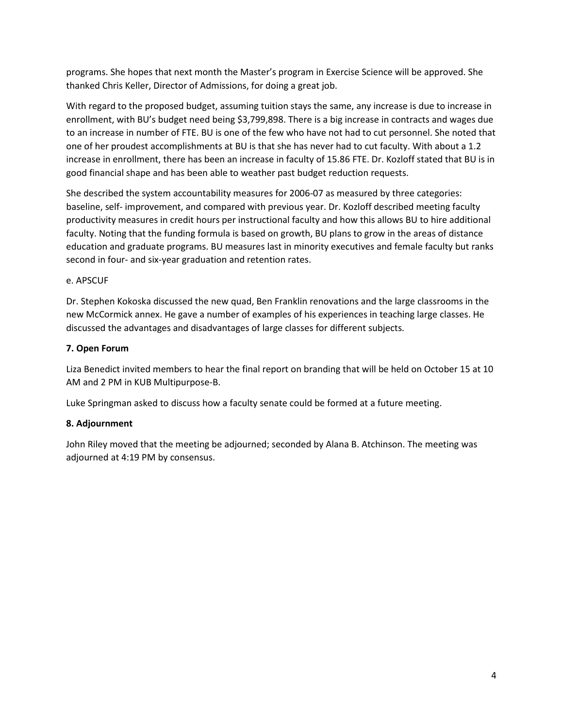programs. She hopes that next month the Master's program in Exercise Science will be approved. She thanked Chris Keller, Director of Admissions, for doing a great job.

With regard to the proposed budget, assuming tuition stays the same, any increase is due to increase in enrollment, with BU's budget need being \$3,799,898. There is a big increase in contracts and wages due to an increase in number of FTE. BU is one of the few who have not had to cut personnel. She noted that one of her proudest accomplishments at BU is that she has never had to cut faculty. With about a 1.2 increase in enrollment, there has been an increase in faculty of 15.86 FTE. Dr. Kozloff stated that BU is in good financial shape and has been able to weather past budget reduction requests.

She described the system accountability measures for 2006-07 as measured by three categories: baseline, self- improvement, and compared with previous year. Dr. Kozloff described meeting faculty productivity measures in credit hours per instructional faculty and how this allows BU to hire additional faculty. Noting that the funding formula is based on growth, BU plans to grow in the areas of distance education and graduate programs. BU measures last in minority executives and female faculty but ranks second in four- and six-year graduation and retention rates.

# e. APSCUF

Dr. Stephen Kokoska discussed the new quad, Ben Franklin renovations and the large classrooms in the new McCormick annex. He gave a number of examples of his experiences in teaching large classes. He discussed the advantages and disadvantages of large classes for different subjects.

# **7. Open Forum**

Liza Benedict invited members to hear the final report on branding that will be held on October 15 at 10 AM and 2 PM in KUB Multipurpose-B.

Luke Springman asked to discuss how a faculty senate could be formed at a future meeting.

# **8. Adjournment**

John Riley moved that the meeting be adjourned; seconded by Alana B. Atchinson. The meeting was adjourned at 4:19 PM by consensus.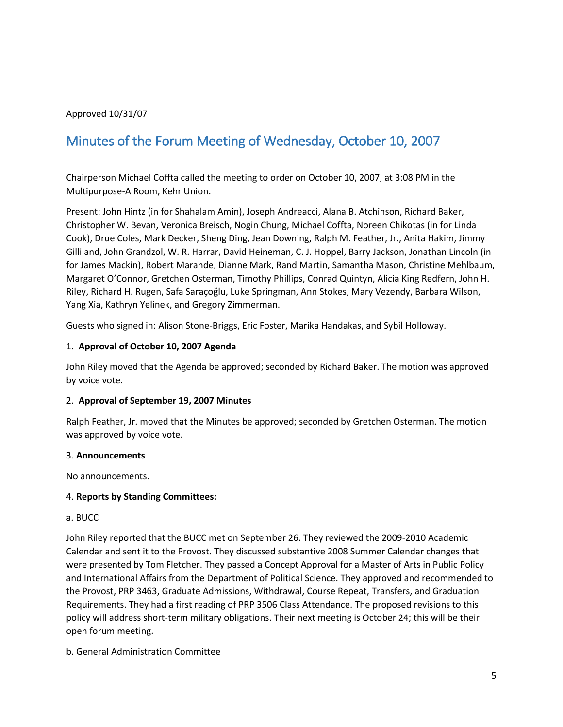# Approved 10/31/07

# <span id="page-4-0"></span>Minutes of the Forum Meeting of Wednesday, October 10, 2007

Chairperson Michael Coffta called the meeting to order on October 10, 2007, at 3:08 PM in the Multipurpose-A Room, Kehr Union.

Present: John Hintz (in for Shahalam Amin), Joseph Andreacci, Alana B. Atchinson, Richard Baker, Christopher W. Bevan, Veronica Breisch, Nogin Chung, Michael Coffta, Noreen Chikotas (in for Linda Cook), Drue Coles, Mark Decker, Sheng Ding, Jean Downing, Ralph M. Feather, Jr., Anita Hakim, Jimmy Gilliland, John Grandzol, W. R. Harrar, David Heineman, C. J. Hoppel, Barry Jackson, Jonathan Lincoln (in for James Mackin), Robert Marande, Dianne Mark, Rand Martin, Samantha Mason, Christine Mehlbaum, Margaret O'Connor, Gretchen Osterman, Timothy Phillips, Conrad Quintyn, Alicia King Redfern, John H. Riley, Richard H. Rugen, Safa Saraçoğlu, Luke Springman, Ann Stokes, Mary Vezendy, Barbara Wilson, Yang Xia, Kathryn Yelinek, and Gregory Zimmerman.

Guests who signed in: Alison Stone-Briggs, Eric Foster, Marika Handakas, and Sybil Holloway.

#### 1. **Approval of October 10, 2007 Agenda**

John Riley moved that the Agenda be approved; seconded by Richard Baker. The motion was approved by voice vote.

#### 2. **Approval of September 19, 2007 Minutes**

Ralph Feather, Jr. moved that the Minutes be approved; seconded by Gretchen Osterman. The motion was approved by voice vote.

#### 3. **Announcements**

No announcements.

#### 4. **Reports by Standing Committees:**

#### a. BUCC

John Riley reported that the BUCC met on September 26. They reviewed the 2009-2010 Academic Calendar and sent it to the Provost. They discussed substantive 2008 Summer Calendar changes that were presented by Tom Fletcher. They passed a Concept Approval for a Master of Arts in Public Policy and International Affairs from the Department of Political Science. They approved and recommended to the Provost, PRP 3463, Graduate Admissions, Withdrawal, Course Repeat, Transfers, and Graduation Requirements. They had a first reading of PRP 3506 Class Attendance. The proposed revisions to this policy will address short-term military obligations. Their next meeting is October 24; this will be their open forum meeting.

b. General Administration Committee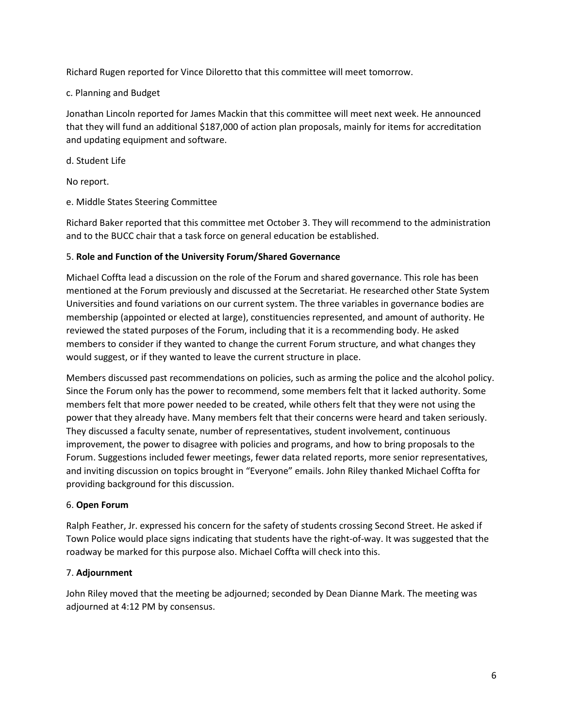Richard Rugen reported for Vince Diloretto that this committee will meet tomorrow.

# c. Planning and Budget

Jonathan Lincoln reported for James Mackin that this committee will meet next week. He announced that they will fund an additional \$187,000 of action plan proposals, mainly for items for accreditation and updating equipment and software.

d. Student Life

No report.

e. Middle States Steering Committee

Richard Baker reported that this committee met October 3. They will recommend to the administration and to the BUCC chair that a task force on general education be established.

# 5. **Role and Function of the University Forum/Shared Governance**

Michael Coffta lead a discussion on the role of the Forum and shared governance. This role has been mentioned at the Forum previously and discussed at the Secretariat. He researched other State System Universities and found variations on our current system. The three variables in governance bodies are membership (appointed or elected at large), constituencies represented, and amount of authority. He reviewed the stated purposes of the Forum, including that it is a recommending body. He asked members to consider if they wanted to change the current Forum structure, and what changes they would suggest, or if they wanted to leave the current structure in place.

Members discussed past recommendations on policies, such as arming the police and the alcohol policy. Since the Forum only has the power to recommend, some members felt that it lacked authority. Some members felt that more power needed to be created, while others felt that they were not using the power that they already have. Many members felt that their concerns were heard and taken seriously. They discussed a faculty senate, number of representatives, student involvement, continuous improvement, the power to disagree with policies and programs, and how to bring proposals to the Forum. Suggestions included fewer meetings, fewer data related reports, more senior representatives, and inviting discussion on topics brought in "Everyone" emails. John Riley thanked Michael Coffta for providing background for this discussion.

# 6. **Open Forum**

Ralph Feather, Jr. expressed his concern for the safety of students crossing Second Street. He asked if Town Police would place signs indicating that students have the right-of-way. It was suggested that the roadway be marked for this purpose also. Michael Coffta will check into this.

# 7. **Adjournment**

John Riley moved that the meeting be adjourned; seconded by Dean Dianne Mark. The meeting was adjourned at 4:12 PM by consensus.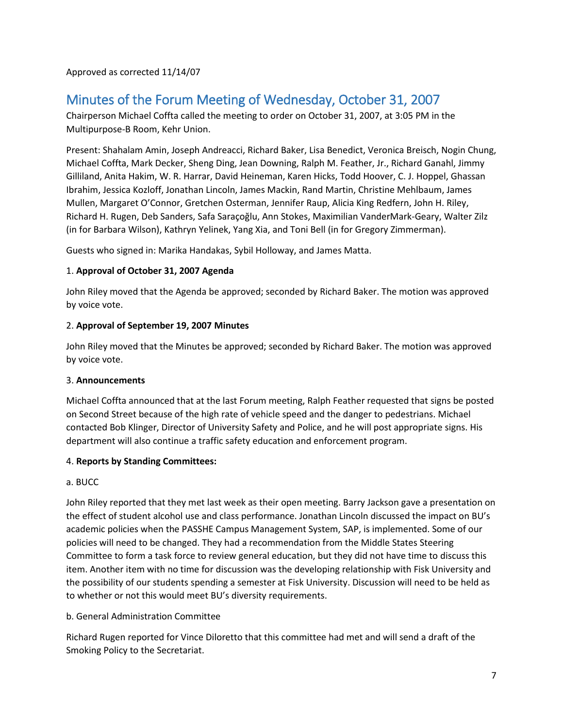Approved as corrected 11/14/07

# <span id="page-6-0"></span>Minutes of the Forum Meeting of Wednesday, October 31, 2007

Chairperson Michael Coffta called the meeting to order on October 31, 2007, at 3:05 PM in the Multipurpose-B Room, Kehr Union.

Present: Shahalam Amin, Joseph Andreacci, Richard Baker, Lisa Benedict, Veronica Breisch, Nogin Chung, Michael Coffta, Mark Decker, Sheng Ding, Jean Downing, Ralph M. Feather, Jr., Richard Ganahl, Jimmy Gilliland, Anita Hakim, W. R. Harrar, David Heineman, Karen Hicks, Todd Hoover, C. J. Hoppel, Ghassan Ibrahim, Jessica Kozloff, Jonathan Lincoln, James Mackin, Rand Martin, Christine Mehlbaum, James Mullen, Margaret O'Connor, Gretchen Osterman, Jennifer Raup, Alicia King Redfern, John H. Riley, Richard H. Rugen, Deb Sanders, Safa Saraçoğlu, Ann Stokes, Maximilian VanderMark-Geary, Walter Zilz (in for Barbara Wilson), Kathryn Yelinek, Yang Xia, and Toni Bell (in for Gregory Zimmerman).

Guests who signed in: Marika Handakas, Sybil Holloway, and James Matta.

# 1. **Approval of October 31, 2007 Agenda**

John Riley moved that the Agenda be approved; seconded by Richard Baker. The motion was approved by voice vote.

# 2. **Approval of September 19, 2007 Minutes**

John Riley moved that the Minutes be approved; seconded by Richard Baker. The motion was approved by voice vote.

# 3. **Announcements**

Michael Coffta announced that at the last Forum meeting, Ralph Feather requested that signs be posted on Second Street because of the high rate of vehicle speed and the danger to pedestrians. Michael contacted Bob Klinger, Director of University Safety and Police, and he will post appropriate signs. His department will also continue a traffic safety education and enforcement program.

# 4. **Reports by Standing Committees:**

# a. BUCC

John Riley reported that they met last week as their open meeting. Barry Jackson gave a presentation on the effect of student alcohol use and class performance. Jonathan Lincoln discussed the impact on BU's academic policies when the PASSHE Campus Management System, SAP, is implemented. Some of our policies will need to be changed. They had a recommendation from the Middle States Steering Committee to form a task force to review general education, but they did not have time to discuss this item. Another item with no time for discussion was the developing relationship with Fisk University and the possibility of our students spending a semester at Fisk University. Discussion will need to be held as to whether or not this would meet BU's diversity requirements.

# b. General Administration Committee

Richard Rugen reported for Vince Diloretto that this committee had met and will send a draft of the Smoking Policy to the Secretariat.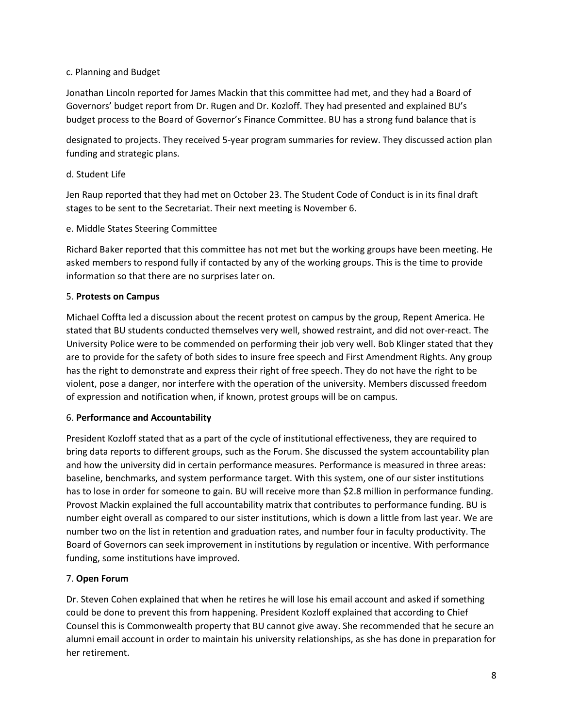# c. Planning and Budget

Jonathan Lincoln reported for James Mackin that this committee had met, and they had a Board of Governors' budget report from Dr. Rugen and Dr. Kozloff. They had presented and explained BU's budget process to the Board of Governor's Finance Committee. BU has a strong fund balance that is

designated to projects. They received 5-year program summaries for review. They discussed action plan funding and strategic plans.

# d. Student Life

Jen Raup reported that they had met on October 23. The Student Code of Conduct is in its final draft stages to be sent to the Secretariat. Their next meeting is November 6.

# e. Middle States Steering Committee

Richard Baker reported that this committee has not met but the working groups have been meeting. He asked members to respond fully if contacted by any of the working groups. This is the time to provide information so that there are no surprises later on.

# 5. **Protests on Campus**

Michael Coffta led a discussion about the recent protest on campus by the group, Repent America. He stated that BU students conducted themselves very well, showed restraint, and did not over-react. The University Police were to be commended on performing their job very well. Bob Klinger stated that they are to provide for the safety of both sides to insure free speech and First Amendment Rights. Any group has the right to demonstrate and express their right of free speech. They do not have the right to be violent, pose a danger, nor interfere with the operation of the university. Members discussed freedom of expression and notification when, if known, protest groups will be on campus.

#### 6. **Performance and Accountability**

President Kozloff stated that as a part of the cycle of institutional effectiveness, they are required to bring data reports to different groups, such as the Forum. She discussed the system accountability plan and how the university did in certain performance measures. Performance is measured in three areas: baseline, benchmarks, and system performance target. With this system, one of our sister institutions has to lose in order for someone to gain. BU will receive more than \$2.8 million in performance funding. Provost Mackin explained the full accountability matrix that contributes to performance funding. BU is number eight overall as compared to our sister institutions, which is down a little from last year. We are number two on the list in retention and graduation rates, and number four in faculty productivity. The Board of Governors can seek improvement in institutions by regulation or incentive. With performance funding, some institutions have improved.

# 7. **Open Forum**

Dr. Steven Cohen explained that when he retires he will lose his email account and asked if something could be done to prevent this from happening. President Kozloff explained that according to Chief Counsel this is Commonwealth property that BU cannot give away. She recommended that he secure an alumni email account in order to maintain his university relationships, as she has done in preparation for her retirement.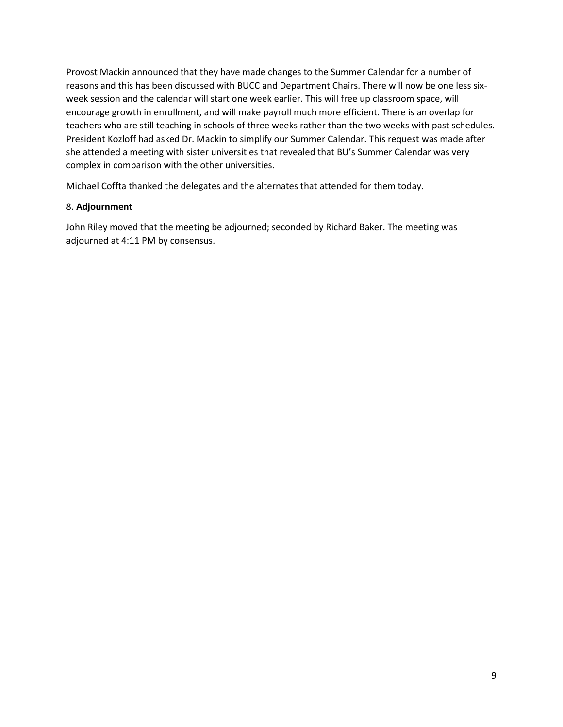Provost Mackin announced that they have made changes to the Summer Calendar for a number of reasons and this has been discussed with BUCC and Department Chairs. There will now be one less sixweek session and the calendar will start one week earlier. This will free up classroom space, will encourage growth in enrollment, and will make payroll much more efficient. There is an overlap for teachers who are still teaching in schools of three weeks rather than the two weeks with past schedules. President Kozloff had asked Dr. Mackin to simplify our Summer Calendar. This request was made after she attended a meeting with sister universities that revealed that BU's Summer Calendar was very complex in comparison with the other universities.

Michael Coffta thanked the delegates and the alternates that attended for them today.

# 8. **Adjournment**

John Riley moved that the meeting be adjourned; seconded by Richard Baker. The meeting was adjourned at 4:11 PM by consensus.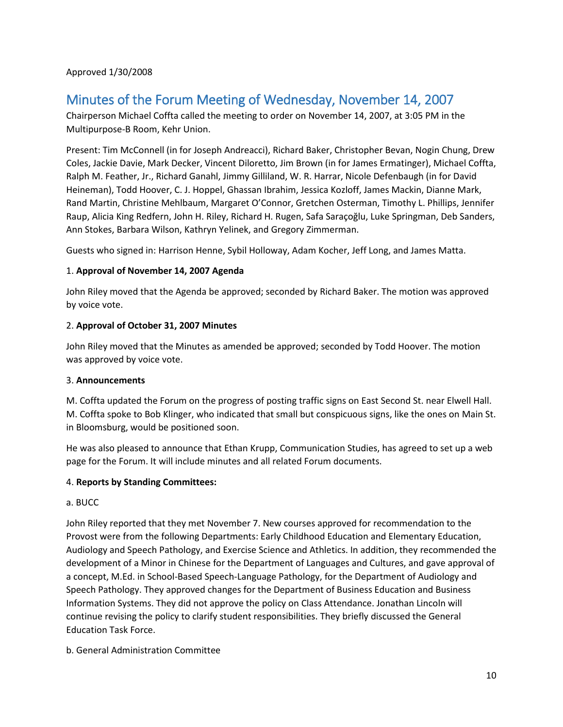Approved 1/30/2008

# <span id="page-9-0"></span>Minutes of the Forum Meeting of Wednesday, November 14, 2007

Chairperson Michael Coffta called the meeting to order on November 14, 2007, at 3:05 PM in the Multipurpose-B Room, Kehr Union.

Present: Tim McConnell (in for Joseph Andreacci), Richard Baker, Christopher Bevan, Nogin Chung, Drew Coles, Jackie Davie, Mark Decker, Vincent Diloretto, Jim Brown (in for James Ermatinger), Michael Coffta, Ralph M. Feather, Jr., Richard Ganahl, Jimmy Gilliland, W. R. Harrar, Nicole Defenbaugh (in for David Heineman), Todd Hoover, C. J. Hoppel, Ghassan Ibrahim, Jessica Kozloff, James Mackin, Dianne Mark, Rand Martin, Christine Mehlbaum, Margaret O'Connor, Gretchen Osterman, Timothy L. Phillips, Jennifer Raup, Alicia King Redfern, John H. Riley, Richard H. Rugen, Safa Saraçoğlu, Luke Springman, Deb Sanders, Ann Stokes, Barbara Wilson, Kathryn Yelinek, and Gregory Zimmerman.

Guests who signed in: Harrison Henne, Sybil Holloway, Adam Kocher, Jeff Long, and James Matta.

# 1. **Approval of November 14, 2007 Agenda**

John Riley moved that the Agenda be approved; seconded by Richard Baker. The motion was approved by voice vote.

# 2. **Approval of October 31, 2007 Minutes**

John Riley moved that the Minutes as amended be approved; seconded by Todd Hoover. The motion was approved by voice vote.

#### 3. **Announcements**

M. Coffta updated the Forum on the progress of posting traffic signs on East Second St. near Elwell Hall. M. Coffta spoke to Bob Klinger, who indicated that small but conspicuous signs, like the ones on Main St. in Bloomsburg, would be positioned soon.

He was also pleased to announce that Ethan Krupp, Communication Studies, has agreed to set up a web page for the Forum. It will include minutes and all related Forum documents.

# 4. **Reports by Standing Committees:**

#### a. BUCC

John Riley reported that they met November 7. New courses approved for recommendation to the Provost were from the following Departments: Early Childhood Education and Elementary Education, Audiology and Speech Pathology, and Exercise Science and Athletics. In addition, they recommended the development of a Minor in Chinese for the Department of Languages and Cultures, and gave approval of a concept, M.Ed. in School-Based Speech-Language Pathology, for the Department of Audiology and Speech Pathology. They approved changes for the Department of Business Education and Business Information Systems. They did not approve the policy on Class Attendance. Jonathan Lincoln will continue revising the policy to clarify student responsibilities. They briefly discussed the General Education Task Force.

b. General Administration Committee